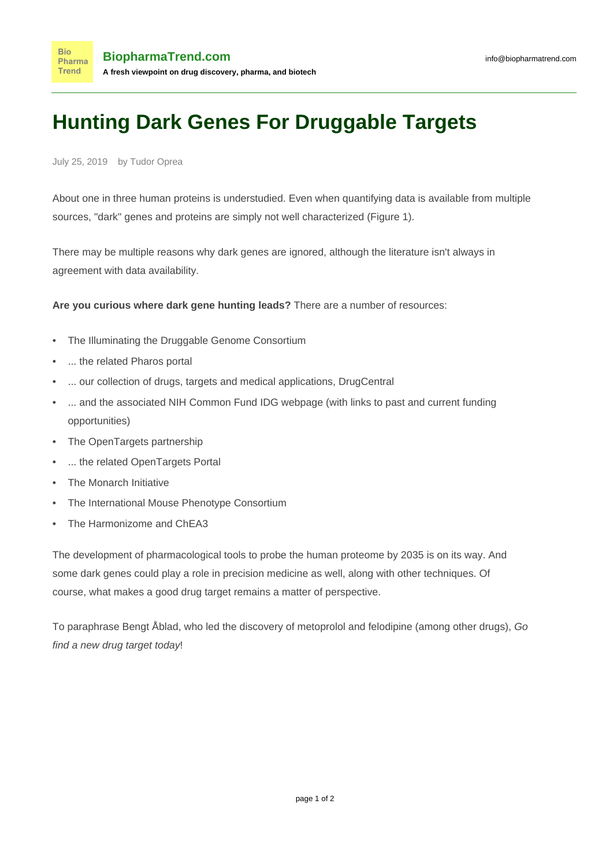## **Hunting Dark Genes For Druggable Targets**

July 25, 2019 by Tudor Oprea

About one in three human proteins is [understudied](https://www.ncbi.nlm.nih.gov/pmc/articles/PMC6339563/). Even when quantifying data is available from multiple sources, "dark" genes and proteins are simply not well characterized (Figure 1).

There may be multiple [reasons](https://journals.plos.org/plosbiology/article?id=10.1371/journal.pbio.2006643) why dark genes are ignored, although the literature [isn't always in](https://journals.plos.org/plosbiology/article?id=10.1371/journal.pbio.3000067) [agreement](https://journals.plos.org/plosbiology/article?id=10.1371/journal.pbio.3000067) with data availability.

**Are you curious where dark gene hunting leads?** There are a number of resources:

- The [Illuminating the Druggable Genome Consortium](https://druggablegenome.net/)
- ... the related [Pharos](https://pharos.nih.gov/) portal
- ... our collection of drugs, targets and medical applications, [DrugCentral](http://drugcentral.org/)
- ... and the associated NIH Common Fund [IDG webpage](https://commonfund.nih.gov/IDG) (with links to past and current funding opportunities)
- The [OpenTargets](https://www.opentargets.org/) partnership
- ... the related [OpenTargets Portal](https://www.targetvalidation.org/)
- The [Monarch Initiative](https://monarchinitiative.org/)
- The [International Mouse Phenotype Consortium](https://www.mousephenotype.org/)
- The [Harmonizome](https://amp.pharm.mssm.edu/Harmonizome/) and [ChEA3](https://amp.pharm.mssm.edu/chea3/)

The development of pharmacological tools to probe the human proteome by 2035 is [on its way.](https://www.sciencedirect.com/science/article/pii/S1359644619301382?via%3Dihub) And some dark genes [could play a role in precision medicine](https://link.springer.com/article/10.1007%2Fs00335-019-09809-0) as well, along with [other techniques](https://medcitynews.com/2019/07/how-best-to-describe-precision-medicine-beyond-oncology-its-complicated/). Of course, [what makes a good drug target](https://www.sciencedirect.com/science/article/pii/S1359644611002972) remains a matter of [perspective](https://www.sciencedirect.com/science/article/pii/S1359644604033161).

To paraphrase [Bengt Åblad](https://www.researchgate.net/profile/Bengt_Ablad), who led the discovery of [metoprolol](http://drugcentral.org/drugcard/1786) and [felodipine](http://drugcentral.org/drugcard/1142) (among other drugs), Go find a new drug target today!